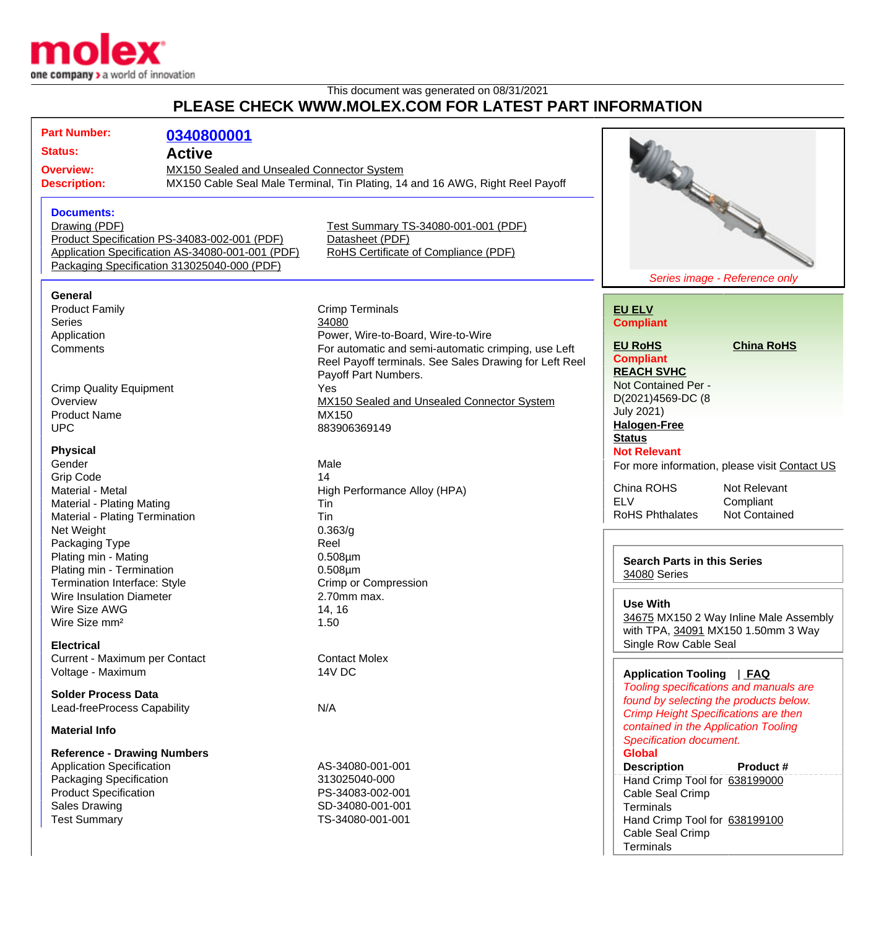

## This document was generated on 08/31/2021 **PLEASE CHECK WWW.MOLEX.COM FOR LATEST PART INFORMATION**

| <b>Part Number:</b><br>0340800001<br><b>Status:</b><br><b>Active</b><br><b>Overview:</b><br><b>Description:</b>                                                                       | MX150 Sealed and Unsealed Connector System<br>MX150 Cable Seal Male Terminal, Tin Plating, 14 and 16 AWG, Right Reel Payoff                                                            |                                                                                                                                                                                                                                      |
|---------------------------------------------------------------------------------------------------------------------------------------------------------------------------------------|----------------------------------------------------------------------------------------------------------------------------------------------------------------------------------------|--------------------------------------------------------------------------------------------------------------------------------------------------------------------------------------------------------------------------------------|
| <b>Documents:</b><br>Drawing (PDF)<br>Product Specification PS-34083-002-001 (PDF)<br>Application Specification AS-34080-001-001 (PDF)<br>Packaging Specification 313025040-000 (PDF) | Test Summary TS-34080-001-001 (PDF)<br>Datasheet (PDF)<br>RoHS Certificate of Compliance (PDF)                                                                                         | MARKET A<br>Series image - Reference only                                                                                                                                                                                            |
| <b>General</b>                                                                                                                                                                        |                                                                                                                                                                                        |                                                                                                                                                                                                                                      |
| <b>Product Family</b><br><b>Series</b><br>Application<br>Comments                                                                                                                     | <b>Crimp Terminals</b><br>34080<br>Power, Wire-to-Board, Wire-to-Wire<br>For automatic and semi-automatic crimping, use Left<br>Reel Payoff terminals. See Sales Drawing for Left Reel | <b>EU ELV</b><br><b>Compliant</b><br><b>China RoHS</b><br><b>EU RoHS</b><br><b>Compliant</b>                                                                                                                                         |
| <b>Crimp Quality Equipment</b><br>Overview<br><b>Product Name</b><br><b>UPC</b>                                                                                                       | Payoff Part Numbers.<br>Yes<br>MX150 Sealed and Unsealed Connector System<br>MX150<br>883906369149                                                                                     | <b>REACH SVHC</b><br>Not Contained Per -<br>D(2021)4569-DC (8<br><b>July 2021)</b><br><b>Halogen-Free</b>                                                                                                                            |
| <b>Physical</b><br>Gender                                                                                                                                                             | Male                                                                                                                                                                                   | <b>Status</b><br><b>Not Relevant</b><br>For more information, please visit Contact US                                                                                                                                                |
| <b>Grip Code</b><br>Material - Metal<br><b>Material - Plating Mating</b><br>Material - Plating Termination                                                                            | 14<br>High Performance Alloy (HPA)<br>Tin<br>Tin                                                                                                                                       | China ROHS<br>Not Relevant<br><b>ELV</b><br>Compliant<br><b>RoHS Phthalates</b><br>Not Contained                                                                                                                                     |
| Net Weight<br>Packaging Type<br>Plating min - Mating<br>Plating min - Termination<br>Termination Interface: Style                                                                     | 0.363/g<br>Reel<br>$0.508 \mu m$<br>$0.508 \mu m$<br>Crimp or Compression                                                                                                              | <b>Search Parts in this Series</b><br>34080 Series                                                                                                                                                                                   |
| <b>Wire Insulation Diameter</b><br>Wire Size AWG<br>Wire Size mm <sup>2</sup>                                                                                                         | 2.70mm max.<br>14, 16<br>1.50                                                                                                                                                          | <b>Use With</b><br>34675 MX150 2 Way Inline Male Assembly<br>with TPA, 34091 MX150 1.50mm 3 Way                                                                                                                                      |
| <b>Electrical</b><br>Current - Maximum per Contact<br>Voltage - Maximum                                                                                                               | <b>Contact Molex</b><br>14V DC                                                                                                                                                         | Single Row Cable Seal<br>Application Tooling   FAQ                                                                                                                                                                                   |
| <b>Solder Process Data</b><br>Lead-freeProcess Capability                                                                                                                             | N/A                                                                                                                                                                                    | Tooling specifications and manuals are<br>found by selecting the products below.<br><b>Crimp Height Specifications are then</b>                                                                                                      |
| <b>Material Info</b>                                                                                                                                                                  |                                                                                                                                                                                        | contained in the Application Tooling                                                                                                                                                                                                 |
| <b>Reference - Drawing Numbers</b><br><b>Application Specification</b><br>Packaging Specification<br><b>Product Specification</b><br><b>Sales Drawing</b><br><b>Test Summary</b>      | AS-34080-001-001<br>313025040-000<br>PS-34083-002-001<br>SD-34080-001-001<br>TS-34080-001-001                                                                                          | <b>Specification document.</b><br><b>Global</b><br><b>Description</b><br><b>Product #</b><br>Hand Crimp Tool for 638199000<br>Cable Seal Crimp<br><b>Terminals</b><br>Hand Crimp Tool for 638199100<br>Cable Seal Crimp<br>Terminals |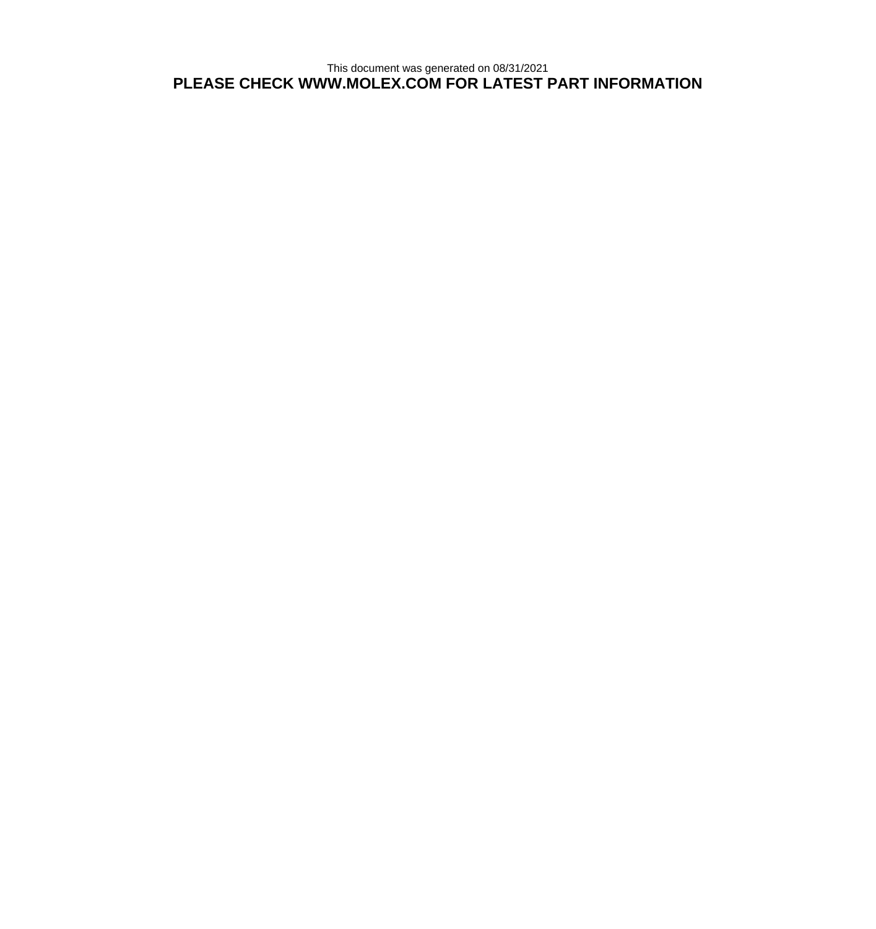This document was generated on 08/31/2021 **PLEASE CHECK WWW.MOLEX.COM FOR LATEST PART INFORMATION**